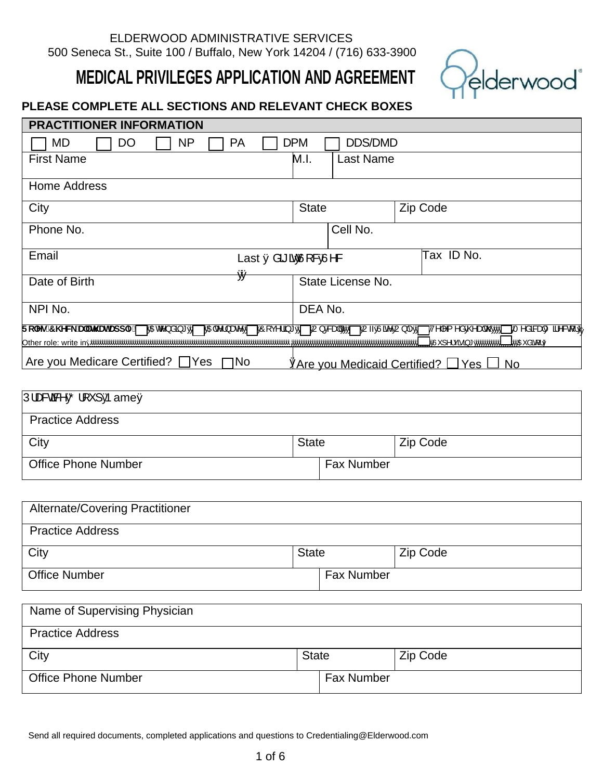# ELDERWOOD ADMINISTRATIVE SERVICES 500 Seneca St., Suite 100 / Buffalo, New York 14204 / (716) 633-3900

# **MEDICAL PRIVILEGES APPLICATION AND AGREEMENT**



# **PLEASE COMPLETE ALL SECTIONS AND RELEVANT CHECK BOXES**

| <b>PRACTITIONER INFORMATION</b>                                                                                                                                                      |              |                   |  |            |
|--------------------------------------------------------------------------------------------------------------------------------------------------------------------------------------|--------------|-------------------|--|------------|
| <b>PA</b><br>MD<br><b>NP</b><br>DO                                                                                                                                                   | <b>DPM</b>   | <b>DDS/DMD</b>    |  |            |
| <b>First Name</b>                                                                                                                                                                    | M.I.         | Last Name         |  |            |
| Home Address                                                                                                                                                                         |              |                   |  |            |
| City                                                                                                                                                                                 | <b>State</b> |                   |  | Zip Code   |
| Cell No.<br>Phone No.                                                                                                                                                                |              |                   |  |            |
| Email<br>Last I åã ã ÂJ & EV&<br>₿Á                                                                                                                                                  |              |                   |  | Tax ID No. |
| Date of Birth                                                                                                                                                                        |              | State License No. |  |            |
| NPI No.                                                                                                                                                                              | DEA No.      |                   |  |            |
| Fc`Yg.7\YW_U``HUHUdd`mi  Mateo\å@*A1 MAGEo\}æe^A1 MO[ç^\@*A1 MU}EReaHAM0 MU~AJæ^AJ} ^A1 M^^^{^^^AE@@AQ@AM0 MT^å&ReaHO@^&{\Af<br>∐WaxEåãa[¦Á<br>_<br>MÁÚ la lcãa}* <i>Ŕ</i> wéwéwéwki |              |                   |  |            |
| Are you Medicare Certified? $\Box$ Yes $\Box$ No<br><u>AAre you Medicaid Certified? Yes U No</u>                                                                                     |              |                   |  |            |
|                                                                                                                                                                                      |              |                   |  |            |

| $ \hat{U} $ as $\frac{d}{dx}$ $\hat{D} $ $\hat{V}$ $ $ $\hat{A}$ $\rangle$ am $\hat{A}$ |                   |          |
|-----------------------------------------------------------------------------------------|-------------------|----------|
| <b>Practice Address</b>                                                                 |                   |          |
| City                                                                                    | <b>State</b>      | Zip Code |
| <b>Office Phone Number</b>                                                              | <b>Fax Number</b> |          |

| <b>Alternate/Covering Practitioner</b> |              |                   |          |
|----------------------------------------|--------------|-------------------|----------|
| <b>Practice Address</b>                |              |                   |          |
| City                                   | <b>State</b> |                   | Zip Code |
| <b>Office Number</b>                   |              | <b>Fax Number</b> |          |

| Name of Supervising Physician |              |                   |          |  |
|-------------------------------|--------------|-------------------|----------|--|
| <b>Practice Address</b>       |              |                   |          |  |
| City                          | <b>State</b> |                   | Zip Code |  |
| <b>Office Phone Number</b>    |              | <b>Fax Number</b> |          |  |

Send all required documents, completed applications and questions to Credentialing@Elderwood.com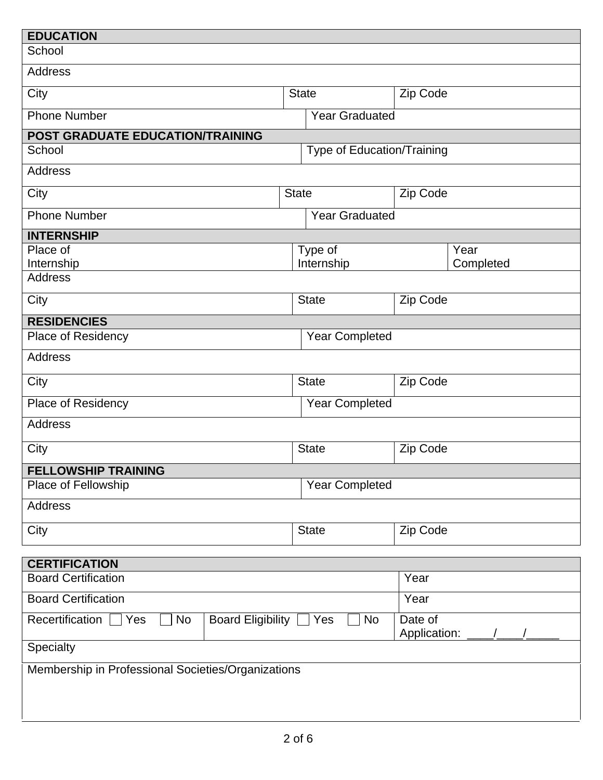| <b>EDUCATION</b>                                         |              |                            |                         |           |
|----------------------------------------------------------|--------------|----------------------------|-------------------------|-----------|
| School                                                   |              |                            |                         |           |
| Address                                                  |              |                            |                         |           |
| City                                                     | <b>State</b> |                            | Zip Code                |           |
| <b>Phone Number</b>                                      |              | <b>Year Graduated</b>      |                         |           |
| POST GRADUATE EDUCATION/TRAINING                         |              |                            |                         |           |
| School                                                   |              | Type of Education/Training |                         |           |
| Address                                                  |              |                            |                         |           |
| City                                                     | <b>State</b> |                            | Zip Code                |           |
| <b>Phone Number</b>                                      |              | <b>Year Graduated</b>      |                         |           |
| <b>INTERNSHIP</b>                                        |              |                            |                         |           |
| Place of                                                 |              | Type of                    |                         | Year      |
| Internship<br><b>Address</b>                             |              | Internship                 |                         | Completed |
|                                                          |              |                            |                         |           |
| City                                                     |              | <b>State</b>               | Zip Code                |           |
| <b>RESIDENCIES</b>                                       |              |                            |                         |           |
| Place of Residency                                       |              | <b>Year Completed</b>      |                         |           |
| Address                                                  |              |                            |                         |           |
| City                                                     |              | <b>State</b>               | Zip Code                |           |
| Place of Residency<br><b>Year Completed</b>              |              |                            |                         |           |
| <b>Address</b>                                           |              |                            |                         |           |
| City<br><b>State</b>                                     |              |                            | Zip Code                |           |
| <b>FELLOWSHIP TRAINING</b>                               |              |                            |                         |           |
| Place of Fellowship                                      |              | <b>Year Completed</b>      |                         |           |
| <b>Address</b>                                           |              |                            |                         |           |
| City<br><b>State</b>                                     |              |                            | Zip Code                |           |
|                                                          |              |                            |                         |           |
| <b>CERTIFICATION</b>                                     |              |                            |                         |           |
| <b>Board Certification</b>                               |              |                            | Year                    |           |
| <b>Board Certification</b>                               |              |                            | Year                    |           |
| Recertification<br>No<br>Yes<br><b>Board Eligibility</b> |              | No<br>Yes                  | Date of<br>Application: |           |
| <b>Specialty</b>                                         |              |                            |                         |           |
| Membership in Professional Societies/Organizations       |              |                            |                         |           |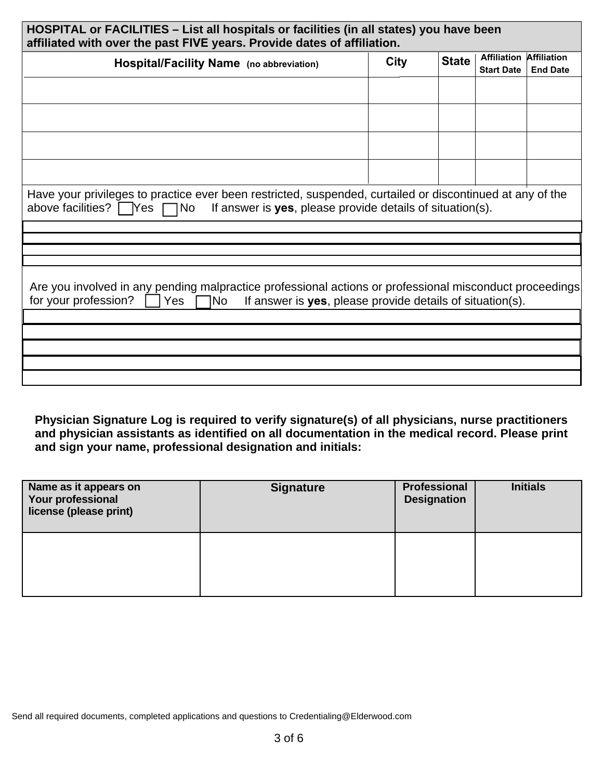| HOSPITAL or FACILITIES – List all hospitals or facilities (in all states) you have been<br>affiliated with over the past FIVE years. Provide dates of affiliation.                                                   |             |              |                                         |                                       |  |  |
|----------------------------------------------------------------------------------------------------------------------------------------------------------------------------------------------------------------------|-------------|--------------|-----------------------------------------|---------------------------------------|--|--|
| Hospital/Facility Name (no abbreviation)                                                                                                                                                                             | <b>City</b> | <b>State</b> | <b>Affiliation</b><br><b>Start Date</b> | <b>Affiliation</b><br><b>End Date</b> |  |  |
|                                                                                                                                                                                                                      |             |              |                                         |                                       |  |  |
|                                                                                                                                                                                                                      |             |              |                                         |                                       |  |  |
|                                                                                                                                                                                                                      |             |              |                                         |                                       |  |  |
|                                                                                                                                                                                                                      |             |              |                                         |                                       |  |  |
| Have your privileges to practice ever been restricted, suspended, curtailed or discontinued at any of the<br>If answer is yes, please provide details of situation(s).<br>above facilities? $\Box$ Yes $\Box$<br>1No |             |              |                                         |                                       |  |  |
|                                                                                                                                                                                                                      |             |              |                                         |                                       |  |  |
|                                                                                                                                                                                                                      |             |              |                                         |                                       |  |  |
| Are you involved in any pending malpractice professional actions or professional misconduct proceedings<br>for your profession?<br>If answer is yes, please provide details of situation(s).<br>1No l<br>Yes         |             |              |                                         |                                       |  |  |
|                                                                                                                                                                                                                      |             |              |                                         |                                       |  |  |
|                                                                                                                                                                                                                      |             |              |                                         |                                       |  |  |
|                                                                                                                                                                                                                      |             |              |                                         |                                       |  |  |
|                                                                                                                                                                                                                      |             |              |                                         |                                       |  |  |

**Physician Signature Log is required to verify signature(s) of all physicians, nurse practitioners and physician assistants as identified on all documentation in the medical record. Please print and sign your name, professional designation and initials:**

| Name as it appears on<br>Your professional<br>license (please print) | <b>Signature</b> | <b>Professional</b><br><b>Designation</b> | <b>Initials</b> |
|----------------------------------------------------------------------|------------------|-------------------------------------------|-----------------|
|                                                                      |                  |                                           |                 |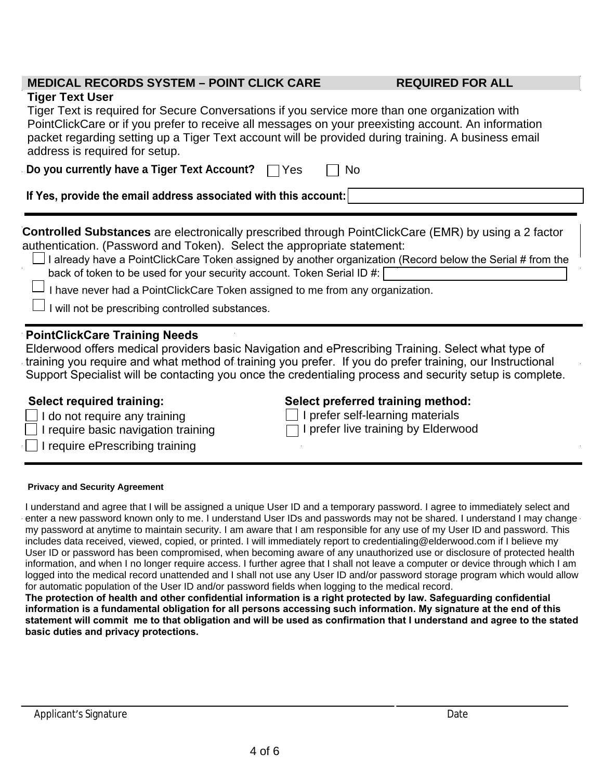# **MEDICAL RECORDS SYSTEM – POINT CLICK CARE REQUIRED FOR ALL**

# **Tiger Text User**

Tiger Text is required for Secure Conversations if you service more than one organization with PointClickCare or if you prefer to receive all messages on your preexisting account. An information packet regarding setting up a Tiger Text account will be provided during training. A business email address is required for setup.

| Do you currently have a Tiger Text Account? $\Box$ Yes |  | $\Box$ No |
|--------------------------------------------------------|--|-----------|
|--------------------------------------------------------|--|-----------|

**If Yes, provide the email address associated with this account:**

**Controlled Substances** are electronically prescribed through PointClickCare (EMR) by using a 2 factor authentication. (Password and Token). Select the appropriate statement:

 $\Box$  I already have a PointClickCare Token assigned by another organization (Record below the Serial # from the back of token to be used for your security account. Token Serial ID #:  $\Box$ 

 $\Box$  I have never had a PointClickCare Token assigned to me from any organization.

I will not be prescribing controlled substances.

# **PointClickCare Training Needs**

Elderwood offers medical providers basic Navigation and ePrescribing Training. Select what type of training you require and what method of training you prefer. If you do prefer training, our Instructional Support Specialist will be contacting you once the credentialing process and security setup is complete.

| $\Box$ I do not require any training |  |
|--------------------------------------|--|
|--------------------------------------|--|

- $\Box$  I require basic navigation training
- I require ePrescribing training

# **Select required training: Select preferred training method:**

 $\Box$  I prefer self-learning materials  $\Box$  I prefer live training by Elderwood

### **Privacy and Security Agreement**

I understand and agree that I will be assigned a unique User ID and a temporary password. I agree to immediately select and enter a new password known only to me. I understand User IDs and passwords may not be shared. I understand I may change my password at anytime to maintain security. I am aware that I am responsible for any use of my User ID and password. This includes data received, viewed, copied, or printed. I will immediately report to credentialing@elderwood.com if I believe my User ID or password has been compromised, when becoming aware of any unauthorized use or disclosure of protected health information, and when I no longer require access. I further agree that I shall not leave a computer or device through which I am logged into the medical record unattended and I shall not use any User ID and/or password storage program which would allow for automatic population of the User ID and/or password fields when logging to the medical record.

The protection of health and other confidential information is a right protected by law. Safeguarding confidential information is a fundamental obligation for all persons accessing such information. My signature at the end of this statement will commit me to that obligation and will be used as confirmation that I understand and agree to the stated **basic duties and privacy protections.**

\_\_\_\_\_\_\_\_\_\_\_\_\_\_\_\_\_\_\_\_\_\_\_\_\_\_\_\_\_\_\_\_\_\_\_\_\_\_\_\_\_\_\_\_\_\_\_\_\_\_\_\_\_\_\_\_\_\_\_\_\_\_\_\_\_\_\_\_\_ \_\_\_\_\_\_\_\_\_\_\_\_\_\_\_\_\_\_\_\_\_\_\_\_\_\_\_\_\_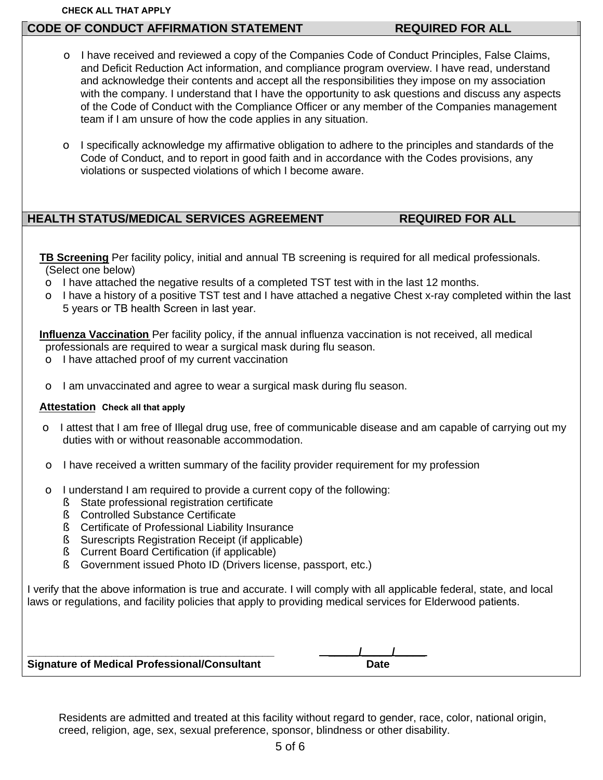### **CHECK ALL THAT APPLY**

# **CODE OF CONDUCT AFFIRMATION STATEMENT REQUIRED FOR ALL**

- $\circ$  I have received and reviewed a copy of the Companies Code of Conduct Principles, False Claims, and Deficit Reduction Act information, and compliance program overview. I have read, understand and acknowledge their contents and accept all the responsibilities they impose on my association with the company. I understand that I have the opportunity to ask questions and discuss any aspects of the Code of Conduct with the Compliance Officer or any member of the Companies management team if I am unsure of how the code applies in any situation.
- $\circ$  I specifically acknowledge my affirmative obligation to adhere to the principles and standards of the Code of Conduct, and to report in good faith and in accordance with the Codes provisions, any violations or suspected violations of which I become aware.

# **HEALTH STATUS/MEDICAL SERVICES AGREEMENT REQUIRED FOR ALL**

**TB Screening** Per facility policy, initial and annual TB screening is required for all medical professionals. (Select one below)

- $\circ$  I have attached the negative results of a completed TST test with in the last 12 months.
- $\circ$  I have a history of a positive TST test and I have attached a negative Chest x-ray completed within the last 5 years or TB health Screen in last year.

**Influenza Vaccination** Per facility policy, if the annual influenza vaccination is not received, all medical professionals are required to wear a surgical mask during flu season.

- $\circ$  I have attached proof of my current vaccination
- $\circ$  I am unvaccinated and agree to wear a surgical mask during flu season.

### **Attestation Check all that apply**

- o I attest that I am free of Illegal drug use, free of communicable disease and am capable of carrying out my duties with or without reasonable accommodation.
- $\circ$  I have received a written summary of the facility provider requirement for my profession
- $\circ$  I understand I am required to provide a current copy of the following:
	- § State professional registration certificate<br>§ Controlled Substance Certificate
	- § Controlled Substance Certificate
	- § Certificate of Professional Liability Insurance
	- § Surescripts Registration Receipt (if applicable)<br>§ Current Board Certification (if applicable)
	- § Current Board Certification (if applicable)
	- § Government issued Photo ID (Drivers license, passport, etc.)

I verify that the above information is true and accurate. I will comply with all applicable federal, state, and local laws or regulations, and facility policies that apply to providing medical services for Elderwood patients.

| <b>Signature of Medical Professional/Consultant</b> | <b>Date</b> |
|-----------------------------------------------------|-------------|

Residents are admitted and treated at this facility without regard to gender, race, color, national origin, creed, religion, age, sex, sexual preference, sponsor, blindness or other disability.